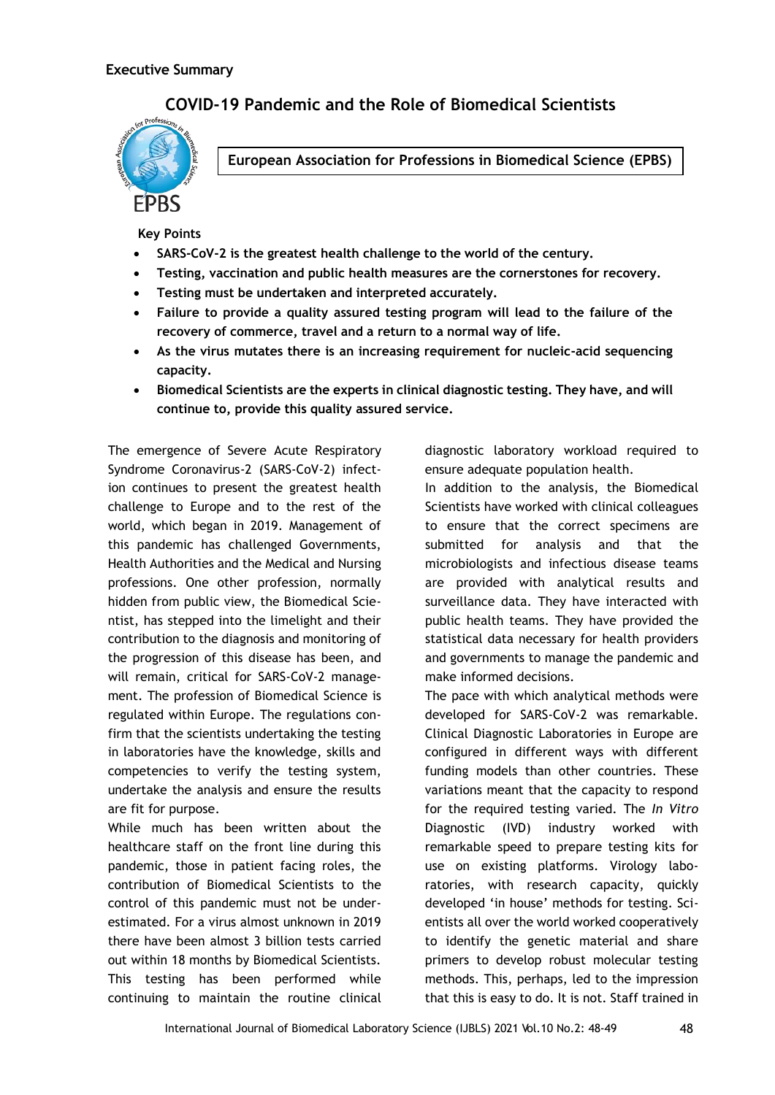## **COVID-19 Pandemic and the Role of Biomedical Scientists**



**European Association for Professions in Biomedical Science (EPBS)**

**Key Points**

- **SARS-CoV-2 is the greatest health challenge to the world of the century.**
- **Testing, vaccination and public health measures are the cornerstones for recovery.**
- **Testing must be undertaken and interpreted accurately.**
- **Failure to provide a quality assured testing program will lead to the failure of the recovery of commerce, travel and a return to a normal way of life.**
- **As the virus mutates there is an increasing requirement for nucleic-acid sequencing capacity.**
- **Biomedical Scientists are the experts in clinical diagnostic testing. They have, and will continue to, provide this quality assured service.**

The emergence of Severe Acute Respiratory Syndrome Coronavirus-2 (SARS-CoV-2) infection continues to present the greatest health challenge to Europe and to the rest of the world, which began in 2019. Management of this pandemic has challenged Governments, Health Authorities and the Medical and Nursing professions. One other profession, normally hidden from public view, the Biomedical Scientist, has stepped into the limelight and their contribution to the diagnosis and monitoring of the progression of this disease has been, and will remain, critical for SARS-CoV-2 management. The profession of Biomedical Science is regulated within Europe. The regulations confirm that the scientists undertaking the testing in laboratories have the knowledge, skills and competencies to verify the testing system, undertake the analysis and ensure the results are fit for purpose.

While much has been written about the healthcare staff on the front line during this pandemic, those in patient facing roles, the contribution of Biomedical Scientists to the control of this pandemic must not be underestimated. For a virus almost unknown in 2019 there have been almost 3 billion tests carried out within 18 months by Biomedical Scientists. This testing has been performed while continuing to maintain the routine clinical diagnostic laboratory workload required to ensure adequate population health.

In addition to the analysis, the Biomedical Scientists have worked with clinical colleagues to ensure that the correct specimens are submitted for analysis and that the microbiologists and infectious disease teams are provided with analytical results and surveillance data. They have interacted with public health teams. They have provided the statistical data necessary for health providers and governments to manage the pandemic and make informed decisions.

The pace with which analytical methods were developed for SARS-CoV-2 was remarkable. Clinical Diagnostic Laboratories in Europe are configured in different ways with different funding models than other countries. These variations meant that the capacity to respond for the required testing varied. The *In Vitro* Diagnostic (IVD) industry worked with remarkable speed to prepare testing kits for use on existing platforms. Virology laboratories, with research capacity, quickly developed 'in house' methods for testing. Scientists all over the world worked cooperatively to identify the genetic material and share primers to develop robust molecular testing methods. This, perhaps, led to the impression that this is easy to do. It is not. Staff trained in